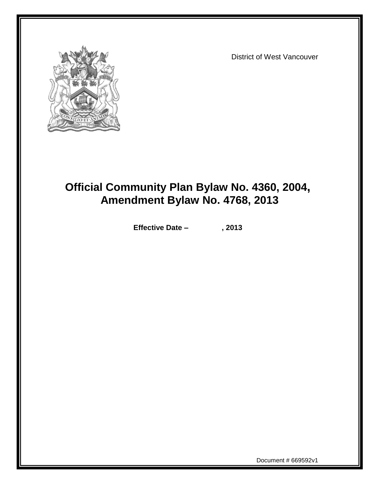

District of West Vancouver

# **Official Community Plan Bylaw No. 4360, 2004, Amendment Bylaw No. 4768, 2013**

**Effective Date – , 2013**

Document # 669592v1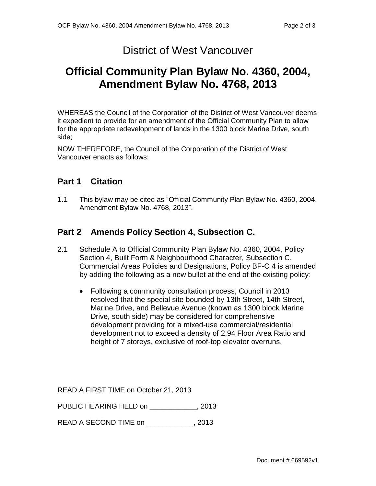### District of West Vancouver

## **Official Community Plan Bylaw No. 4360, 2004, Amendment Bylaw No. 4768, 2013**

WHEREAS the Council of the Corporation of the District of West Vancouver deems it expedient to provide for an amendment of the Official Community Plan to allow for the appropriate redevelopment of lands in the 1300 block Marine Drive, south side;

NOW THEREFORE, the Council of the Corporation of the District of West Vancouver enacts as follows:

### **Part 1 Citation**

1.1 This bylaw may be cited as "Official Community Plan Bylaw No. 4360, 2004, Amendment Bylaw No. 4768, 2013".

#### **Part 2 Amends Policy Section 4, Subsection C.**

- 2.1 Schedule A to Official Community Plan Bylaw No. 4360, 2004, Policy Section 4, Built Form & Neighbourhood Character, Subsection C. Commercial Areas Policies and Designations, Policy BF-C 4 is amended by adding the following as a new bullet at the end of the existing policy:
	- Following a community consultation process, Council in 2013 resolved that the special site bounded by 13th Street, 14th Street, Marine Drive, and Bellevue Avenue (known as 1300 block Marine Drive, south side) may be considered for comprehensive development providing for a mixed-use commercial/residential development not to exceed a density of 2.94 Floor Area Ratio and height of 7 storeys, exclusive of roof-top elevator overruns.

READ A FIRST TIME on October 21, 2013

PUBLIC HEARING HELD on \_\_\_\_\_\_\_\_\_\_\_\_, 2013

READ A SECOND TIME on The contract the READ A SECOND TIME on